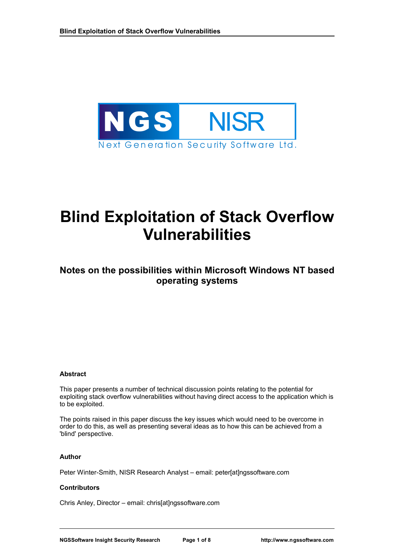

# **Blind Exploitation of Stack Overflow Vulnerabilities**

## **Notes on the possibilities within Microsoft Windows NT based operating systems**

#### **Abstract**

This paper presents a number of technical discussion points relating to the potential for exploiting stack overflow vulnerabilities without having direct access to the application which is to be exploited.

The points raised in this paper discuss the key issues which would need to be overcome in order to do this, as well as presenting several ideas as to how this can be achieved from a 'blind' perspective.

#### **Author**

Peter Winter-Smith, NISR Research Analyst – email: peter[at]ngssoftware.com

#### **Contributors**

Chris Anley, Director – email: chris[at]ngssoftware.com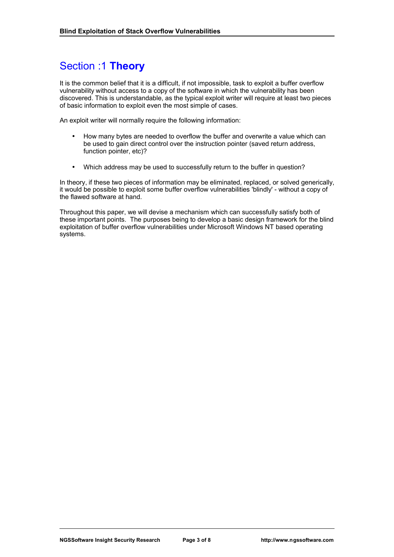# Section :1 **Theory**

It is the common belief that it is a difficult, if not impossible, task to exploit a buffer overflow vulnerability without access to a copy of the software in which the vulnerability has been discovered. This is understandable, as the typical exploit writer will require at least two pieces of basic information to exploit even the most simple of cases.

An exploit writer will normally require the following information:

- How many bytes are needed to overflow the buffer and overwrite a value which can be used to gain direct control over the instruction pointer (saved return address, function pointer, etc)?
- Which address may be used to successfully return to the buffer in question?

In theory, if these two pieces of information may be eliminated, replaced, or solved generically, it would be possible to exploit some buffer overflow vulnerabilities 'blindly' - without a copy of the flawed software at hand.

Throughout this paper, we will devise a mechanism which can successfully satisfy both of these important points. The purposes being to develop a basic design framework for the blind exploitation of buffer overflow vulnerabilities under Microsoft Windows NT based operating systems.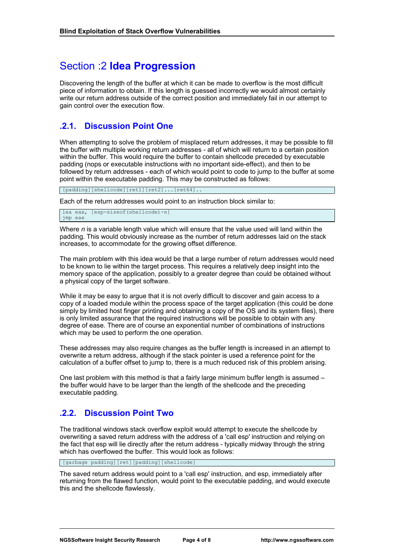# Section :2 **Idea Progression**

Discovering the length of the buffer at which it can be made to overflow is the most difficult piece of information to obtain. If this length is guessed incorrectly we would almost certainly write our return address outside of the correct position and immediately fail in our attempt to gain control over the execution flow.

### **.2.1. Discussion Point One**

When attempting to solve the problem of misplaced return addresses, it may be possible to fill the buffer with multiple working return addresses - all of which will return to a certain position within the buffer. This would require the buffer to contain shellcode preceded by executable padding (nops or executable instructions with no important side-effect), and then to be followed by return addresses - each of which would point to code to jump to the buffer at some point within the executable padding. This may be constructed as follows:

[padding][shellcode][ret1][ret2]...[ret64]..

Each of the return addresses would point to an instruction block similar to:

lea eax, [esp-sizeof(shellcode)-n] jmp eax

Where *n* is a variable length value which will ensure that the value used will land within the padding. This would obviously increase as the number of return addresses laid on the stack increases, to accommodate for the growing offset difference.

The main problem with this idea would be that a large number of return addresses would need to be known to lie within the target process. This requires a relatively deep insight into the memory space of the application, possibly to a greater degree than could be obtained without a physical copy of the target software.

While it may be easy to argue that it is not overly difficult to discover and gain access to a copy of a loaded module within the process space of the target application (this could be done simply by limited host finger printing and obtaining a copy of the OS and its system files), there is only limited assurance that the required instructions will be possible to obtain with any degree of ease. There are of course an exponential number of combinations of instructions which may be used to perform the one operation.

These addresses may also require changes as the buffer length is increased in an attempt to overwrite a return address, although if the stack pointer is used a reference point for the calculation of a buffer offset to jump to, there is a much reduced risk of this problem arising.

One last problem with this method is that a fairly large minimum buffer length is assumed – the buffer would have to be larger than the length of the shellcode and the preceding executable padding.

## **.2.2. Discussion Point Two**

The traditional windows stack overflow exploit would attempt to execute the shellcode by overwriting a saved return address with the address of a 'call esp' instruction and relying on the fact that esp will lie directly after the return address - typically midway through the string which has overflowed the buffer. This would look as follows:

[garbage padding][ret][padding][shellcode]

The saved return address would point to a 'call esp' instruction, and esp, immediately after returning from the flawed function, would point to the executable padding, and would execute this and the shellcode flawlessly.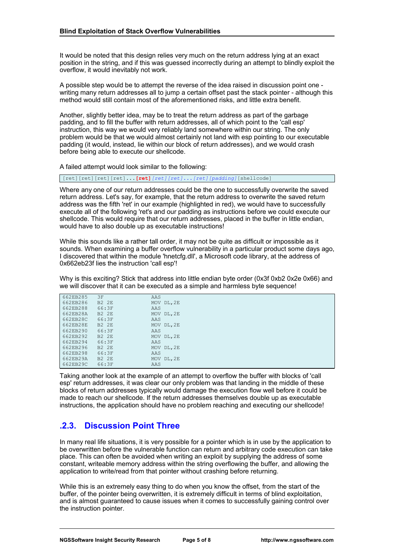It would be noted that this design relies very much on the return address lying at an exact position in the string, and if this was guessed incorrectly during an attempt to blindly exploit the overflow, it would inevitably not work.

A possible step would be to attempt the reverse of the idea raised in discussion point one writing many return addresses all to jump a certain offset past the stack pointer - although this method would still contain most of the aforementioned risks, and little extra benefit.

Another, slightly better idea, may be to treat the return address as part of the garbage padding, and to fill the buffer with return addresses, all of which point to the 'call esp' instruction, this way we would very reliably land somewhere within our string. The only problem would be that we would almost certainly not land with esp pointing to our executable padding (it would, instead, lie within our block of return addresses), and we would crash before being able to execute our shellcode.

A failed attempt would look similar to the following:

[ret][ret][ret][ret]...**[ret]***[ret][ret]...[ret][padding]*[shellcode]

Where any one of our return addresses could be the one to successfully overwrite the saved return address. Let's say, for example, that the return address to overwrite the saved return address was the fifth 'ret' in our example (highlighted in red), we would have to successfully execute all of the following 'ret's and our padding as instructions before we could execute our shellcode. This would require that our return addresses, placed in the buffer in little endian, would have to also double up as executable instructions!

While this sounds like a rather tall order, it may not be quite as difficult or impossible as it sounds. When examining a buffer overflow vulnerability in a particular product some days ago, I discovered that within the module 'hnetcfg.dll', a Microsoft code library, at the address of 0x662eb23f lies the instruction 'call esp'!

Why is this exciting? Stick that address into little endian byte order (0x3f 0xb2 0x2e 0x66) and we will discover that it can be executed as a simple and harmless byte sequence!

| 662EB285 | 3F           | AAS        |  |
|----------|--------------|------------|--|
| 662EB286 | <b>B2 2E</b> | MOV DL, 2E |  |
| 662EB288 | 66:3F        | AAS        |  |
| 662EB28A | <b>B2 2E</b> | MOV DL, 2E |  |
| 662EB28C | 66:3F        | AAS        |  |
| 662EB28E | <b>B2 2E</b> | MOV DL, 2E |  |
| 662EB290 | 66:3F        | AAS        |  |
| 662EB292 | <b>B2 2E</b> | MOV DL, 2E |  |
| 662EB294 | 66:3F        | AAS        |  |
| 662EB296 | <b>B2 2E</b> | MOV DL, 2E |  |
| 662EB298 | 66:3F        | AAS        |  |
| 662EB29A | <b>B2 2E</b> | MOV DL, 2E |  |
| 662EB29C | 66:3F        | AAS        |  |

Taking another look at the example of an attempt to overflow the buffer with blocks of 'call esp' return addresses, it was clear our only problem was that landing in the middle of these blocks of return addresses typically would damage the execution flow well before it could be made to reach our shellcode. If the return addresses themselves double up as executable instructions, the application should have no problem reaching and executing our shellcode!

## **.2.3. Discussion Point Three**

In many real life situations, it is very possible for a pointer which is in use by the application to be overwritten before the vulnerable function can return and arbitrary code execution can take place. This can often be avoided when writing an exploit by supplying the address of some constant, writeable memory address within the string overflowing the buffer, and allowing the application to write/read from that pointer without crashing before returning.

While this is an extremely easy thing to do when you know the offset, from the start of the buffer, of the pointer being overwritten, it is extremely difficult in terms of blind exploitation, and is almost guaranteed to cause issues when it comes to successfully gaining control over the instruction pointer.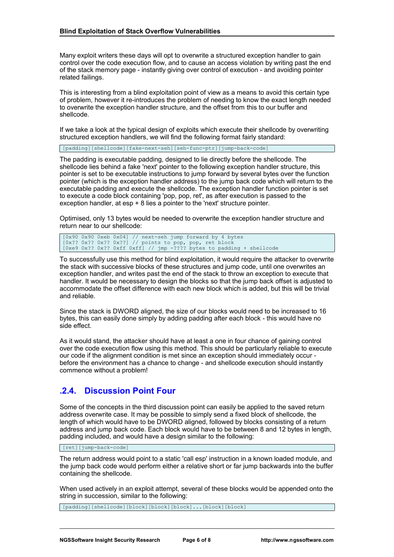Many exploit writers these days will opt to overwrite a structured exception handler to gain control over the code execution flow, and to cause an access violation by writing past the end of the stack memory page - instantly giving over control of execution - and avoiding pointer related failings.

This is interesting from a blind exploitation point of view as a means to avoid this certain type of problem, however it re-introduces the problem of needing to know the exact length needed to overwrite the exception handler structure, and the offset from this to our buffer and shellcode.

If we take a look at the typical design of exploits which execute their shellcode by overwriting structured exception handlers, we will find the following format fairly standard:

[padding][shellcode][fake-next-seh][seh-func-ptr][jump-back-code]

The padding is executable padding, designed to lie directly before the shellcode. The shellcode lies behind a fake 'next' pointer to the following exception handler structure, this pointer is set to be executable instructions to jump forward by several bytes over the function pointer (which is the exception handler address) to the jump back code which will return to the executable padding and execute the shellcode. The exception handler function pointer is set to execute a code block containing 'pop, pop, ret', as after execution is passed to the exception handler, at esp + 8 lies a pointer to the 'next' structure pointer.

Optimised, only 13 bytes would be needed to overwrite the exception handler structure and return near to our shellcode:

[0x90 0x90 0xeb 0x04] // next-seh jump forward by 4 bytes [0x?? 0x?? 0x?? 0x??] // points to pop, pop, ret block [0xe9 0x?? 0x?? 0xff 0xff] // jmp -???? bytes to padding + shellcode

To successfully use this method for blind exploitation, it would require the attacker to overwrite the stack with successive blocks of these structures and jump code, until one overwrites an exception handler, and writes past the end of the stack to throw an exception to execute that handler. It would be necessary to design the blocks so that the jump back offset is adjusted to accommodate the offset difference with each new block which is added, but this will be trivial and reliable.

Since the stack is DWORD aligned, the size of our blocks would need to be increased to 16 bytes, this can easily done simply by adding padding after each block - this would have no side effect.

As it would stand, the attacker should have at least a one in four chance of gaining control over the code execution flow using this method. This should be particularly reliable to execute our code if the alignment condition is met since an exception should immediately occur before the environment has a chance to change - and shellcode execution should instantly commence without a problem!

## **.2.4. Discussion Point Four**

Some of the concepts in the third discussion point can easily be applied to the saved return address overwrite case. It may be possible to simply send a fixed block of shellcode, the length of which would have to be DWORD aligned, followed by blocks consisting of a return address and jump back code. Each block would have to be between 8 and 12 bytes in length, padding included, and would have a design similar to the following:

[ret][jump-back-code]

The return address would point to a static 'call esp' instruction in a known loaded module, and the jump back code would perform either a relative short or far jump backwards into the buffer containing the shellcode.

When used actively in an exploit attempt, several of these blocks would be appended onto the string in succession, similar to the following:

[padding][shellcode][block][block][block]...[block][block]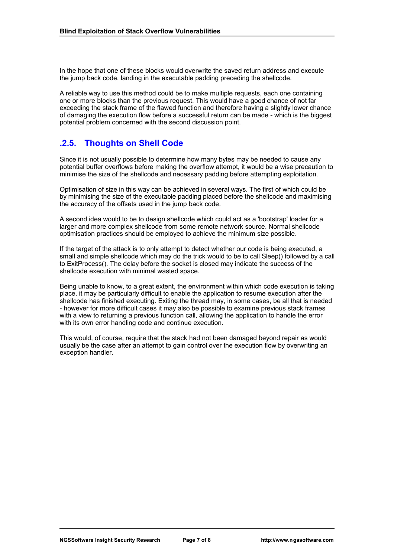In the hope that one of these blocks would overwrite the saved return address and execute the jump back code, landing in the executable padding preceding the shellcode.

A reliable way to use this method could be to make multiple requests, each one containing one or more blocks than the previous request. This would have a good chance of not far exceeding the stack frame of the flawed function and therefore having a slightly lower chance of damaging the execution flow before a successful return can be made - which is the biggest potential problem concerned with the second discussion point.

### **.2.5. Thoughts on Shell Code**

Since it is not usually possible to determine how many bytes may be needed to cause any potential buffer overflows before making the overflow attempt, it would be a wise precaution to minimise the size of the shellcode and necessary padding before attempting exploitation.

Optimisation of size in this way can be achieved in several ways. The first of which could be by minimising the size of the executable padding placed before the shellcode and maximising the accuracy of the offsets used in the jump back code.

A second idea would to be to design shellcode which could act as a 'bootstrap' loader for a larger and more complex shellcode from some remote network source. Normal shellcode optimisation practices should be employed to achieve the minimum size possible.

If the target of the attack is to only attempt to detect whether our code is being executed, a small and simple shellcode which may do the trick would to be to call Sleep() followed by a call to ExitProcess(). The delay before the socket is closed may indicate the success of the shellcode execution with minimal wasted space.

Being unable to know, to a great extent, the environment within which code execution is taking place, it may be particularly difficult to enable the application to resume execution after the shellcode has finished executing. Exiting the thread may, in some cases, be all that is needed - however for more difficult cases it may also be possible to examine previous stack frames with a view to returning a previous function call, allowing the application to handle the error with its own error handling code and continue execution.

This would, of course, require that the stack had not been damaged beyond repair as would usually be the case after an attempt to gain control over the execution flow by overwriting an exception handler.